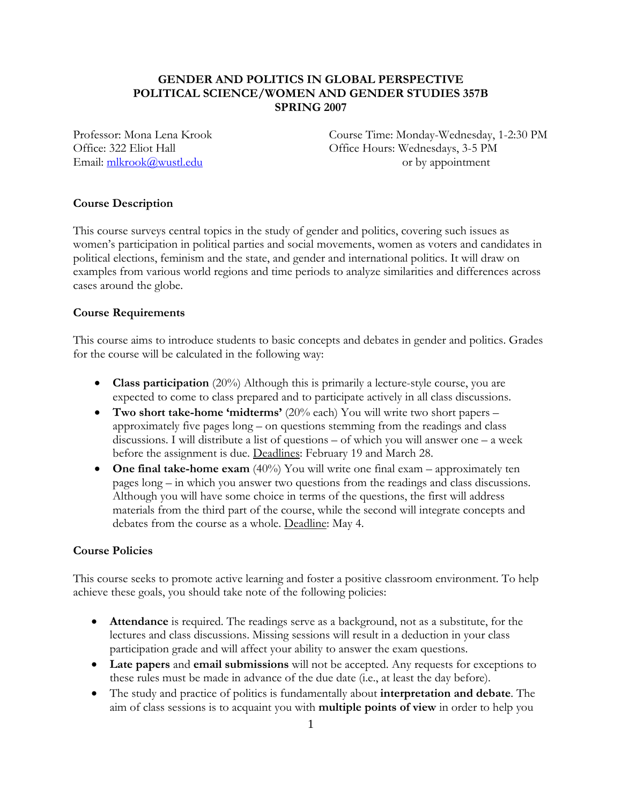## **GENDER AND POLITICS IN GLOBAL PERSPECTIVE POLITICAL SCIENCE/WOMEN AND GENDER STUDIES 357B SPRING 2007**

Professor: Mona Lena Krook Course Time: Monday-Wednesday, 1-2:30 PM Office: 322 Eliot Hall Office Hours: Wednesdays, 3-5 PM Email:  $\frac{m\text{krook}(\hat{a})wustledu}{m\text{krook}(\hat{a})wustledu}$  or by appointment

### **Course Description**

This course surveys central topics in the study of gender and politics, covering such issues as women's participation in political parties and social movements, women as voters and candidates in political elections, feminism and the state, and gender and international politics. It will draw on examples from various world regions and time periods to analyze similarities and differences across cases around the globe.

#### **Course Requirements**

This course aims to introduce students to basic concepts and debates in gender and politics. Grades for the course will be calculated in the following way:

- **Class participation** (20%) Although this is primarily a lecture-style course, you are expected to come to class prepared and to participate actively in all class discussions.
- **Two short take-home 'midterms'** (20% each) You will write two short papers approximately five pages long – on questions stemming from the readings and class discussions. I will distribute a list of questions – of which you will answer one – a week before the assignment is due. Deadlines: February 19 and March 28.
- **One final take-home exam** (40%) You will write one final exam approximately ten pages long – in which you answer two questions from the readings and class discussions. Although you will have some choice in terms of the questions, the first will address materials from the third part of the course, while the second will integrate concepts and debates from the course as a whole. Deadline: May 4.

### **Course Policies**

This course seeks to promote active learning and foster a positive classroom environment. To help achieve these goals, you should take note of the following policies:

- **Attendance** is required. The readings serve as a background, not as a substitute, for the lectures and class discussions. Missing sessions will result in a deduction in your class participation grade and will affect your ability to answer the exam questions.
- **Late papers** and **email submissions** will not be accepted. Any requests for exceptions to these rules must be made in advance of the due date (i.e., at least the day before).
- The study and practice of politics is fundamentally about **interpretation and debate**. The aim of class sessions is to acquaint you with **multiple points of view** in order to help you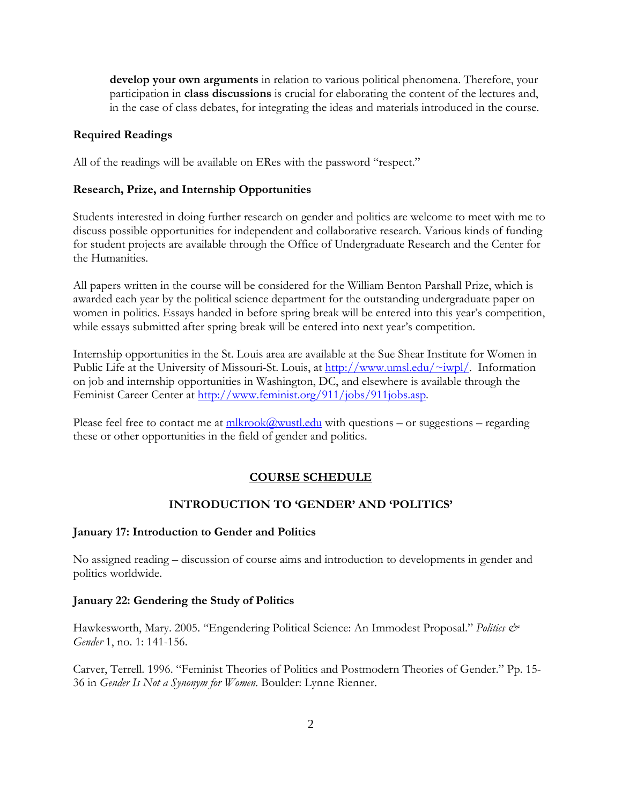**develop your own arguments** in relation to various political phenomena. Therefore, your participation in **class discussions** is crucial for elaborating the content of the lectures and, in the case of class debates, for integrating the ideas and materials introduced in the course.

## **Required Readings**

All of the readings will be available on ERes with the password "respect."

## **Research, Prize, and Internship Opportunities**

Students interested in doing further research on gender and politics are welcome to meet with me to discuss possible opportunities for independent and collaborative research. Various kinds of funding for student projects are available through the Office of Undergraduate Research and the Center for the Humanities.

All papers written in the course will be considered for the William Benton Parshall Prize, which is awarded each year by the political science department for the outstanding undergraduate paper on women in politics. Essays handed in before spring break will be entered into this year's competition, while essays submitted after spring break will be entered into next year's competition.

Internship opportunities in the St. Louis area are available at the Sue Shear Institute for Women in Public Life at the University of Missouri-St. Louis, at [http://www.umsl.edu/~iwpl/](http://www.umsl.edu/%7Eiwpl/). Information on job and internship opportunities in Washington, DC, and elsewhere is available through the Feminist Career Center at <http://www.feminist.org/911/jobs/911jobs.asp>.

Please feel free to contact me at  $\frac{m\text{lkrook}(a\text{wust}.edu)}{m\text{kl} \cdot \text{must}}$  with questions – or suggestions – regarding these or other opportunities in the field of gender and politics.

#### **COURSE SCHEDULE**

## **INTRODUCTION TO 'GENDER' AND 'POLITICS'**

### **January 17: Introduction to Gender and Politics**

No assigned reading – discussion of course aims and introduction to developments in gender and politics worldwide.

#### **January 22: Gendering the Study of Politics**

Hawkesworth, Mary. 2005. "Engendering Political Science: An Immodest Proposal." *Politics & Gender* 1, no. 1: 141-156.

Carver, Terrell. 1996. "Feminist Theories of Politics and Postmodern Theories of Gender." Pp. 15- 36 in *Gender Is Not a Synonym for Women*. Boulder: Lynne Rienner.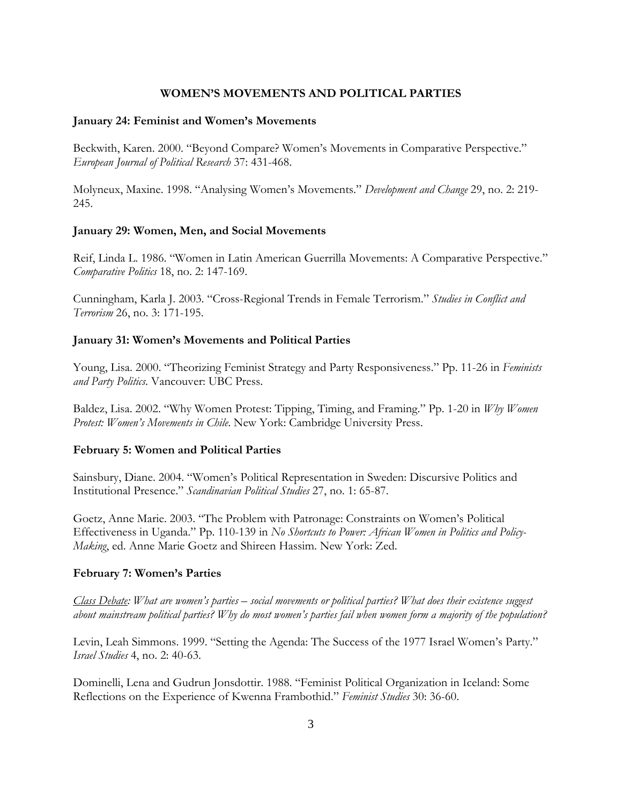### **WOMEN'S MOVEMENTS AND POLITICAL PARTIES**

#### **January 24: Feminist and Women's Movements**

Beckwith, Karen. 2000. "Beyond Compare? Women's Movements in Comparative Perspective." *European Journal of Political Research* 37: 431-468.

Molyneux, Maxine. 1998. "Analysing Women's Movements." *Development and Change* 29, no. 2: 219- 245.

#### **January 29: Women, Men, and Social Movements**

Reif, Linda L. 1986. "Women in Latin American Guerrilla Movements: A Comparative Perspective." *Comparative Politics* 18, no. 2: 147-169.

Cunningham, Karla J. 2003. "Cross-Regional Trends in Female Terrorism." *Studies in Conflict and Terrorism* 26, no. 3: 171-195.

#### **January 31: Women's Movements and Political Parties**

Young, Lisa. 2000. "Theorizing Feminist Strategy and Party Responsiveness." Pp. 11-26 in *Feminists and Party Politics*. Vancouver: UBC Press.

Baldez, Lisa. 2002. "Why Women Protest: Tipping, Timing, and Framing." Pp. 1-20 in *Why Women Protest: Women's Movements in Chile*. New York: Cambridge University Press.

#### **February 5: Women and Political Parties**

Sainsbury, Diane. 2004. "Women's Political Representation in Sweden: Discursive Politics and Institutional Presence." *Scandinavian Political Studies* 27, no. 1: 65-87.

Goetz, Anne Marie. 2003. "The Problem with Patronage: Constraints on Women's Political Effectiveness in Uganda." Pp. 110-139 in *No Shortcuts to Power: African Women in Politics and Policy-Making*, ed. Anne Marie Goetz and Shireen Hassim. New York: Zed.

#### **February 7: Women's Parties**

*Class Debate: What are women's parties – social movements or political parties? What does their existence suggest about mainstream political parties? Why do most women's parties fail when women form a majority of the population?* 

Levin, Leah Simmons. 1999. "Setting the Agenda: The Success of the 1977 Israel Women's Party." *Israel Studies* 4, no. 2: 40-63.

Dominelli, Lena and Gudrun Jonsdottir. 1988. "Feminist Political Organization in Iceland: Some Reflections on the Experience of Kwenna Frambothid." *Feminist Studies* 30: 36-60.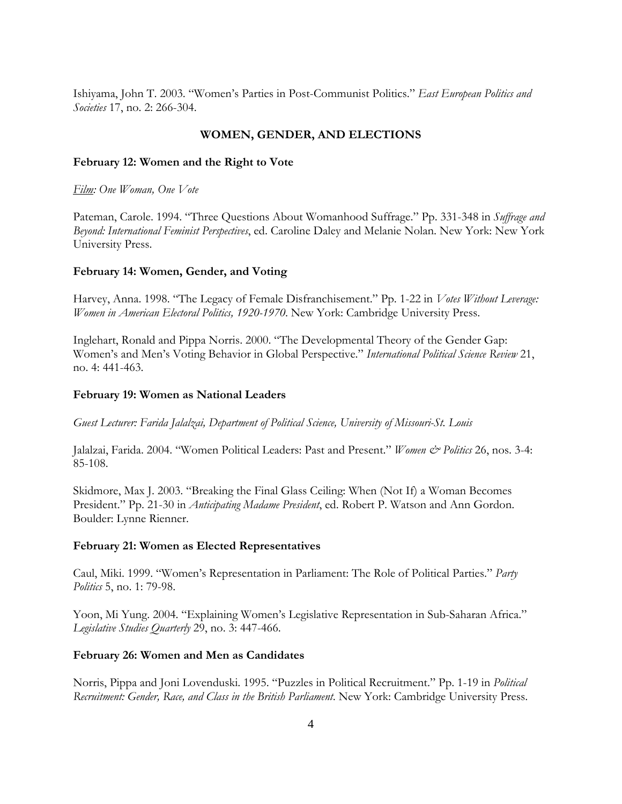Ishiyama, John T. 2003. "Women's Parties in Post-Communist Politics." *East European Politics and Societies* 17, no. 2: 266-304.

### **WOMEN, GENDER, AND ELECTIONS**

#### **February 12: Women and the Right to Vote**

*Film: One Woman, One Vote*

Pateman, Carole. 1994. "Three Questions About Womanhood Suffrage." Pp. 331-348 in *Suffrage and Beyond: International Feminist Perspectives*, ed. Caroline Daley and Melanie Nolan. New York: New York University Press.

#### **February 14: Women, Gender, and Voting**

Harvey, Anna. 1998. "The Legacy of Female Disfranchisement." Pp. 1-22 in *Votes Without Leverage: Women in American Electoral Politics, 1920-1970*. New York: Cambridge University Press.

Inglehart, Ronald and Pippa Norris. 2000. "The Developmental Theory of the Gender Gap: Women's and Men's Voting Behavior in Global Perspective." *International Political Science Review* 21, no. 4: 441-463.

#### **February 19: Women as National Leaders**

*Guest Lecturer: Farida Jalalzai, Department of Political Science, University of Missouri-St. Louis*

Jalalzai, Farida. 2004. "Women Political Leaders: Past and Present." *Women & Politics* 26, nos. 3-4: 85-108.

Skidmore, Max J. 2003. "Breaking the Final Glass Ceiling: When (Not If) a Woman Becomes President." Pp. 21-30 in *Anticipating Madame President*, ed. Robert P. Watson and Ann Gordon. Boulder: Lynne Rienner.

#### **February 21: Women as Elected Representatives**

Caul, Miki. 1999. "Women's Representation in Parliament: The Role of Political Parties." *Party Politics* 5, no. 1: 79-98.

Yoon, Mi Yung. 2004. "Explaining Women's Legislative Representation in Sub-Saharan Africa." *Legislative Studies Quarterly* 29, no. 3: 447-466.

#### **February 26: Women and Men as Candidates**

Norris, Pippa and Joni Lovenduski. 1995. "Puzzles in Political Recruitment." Pp. 1-19 in *Political Recruitment: Gender, Race, and Class in the British Parliament*. New York: Cambridge University Press.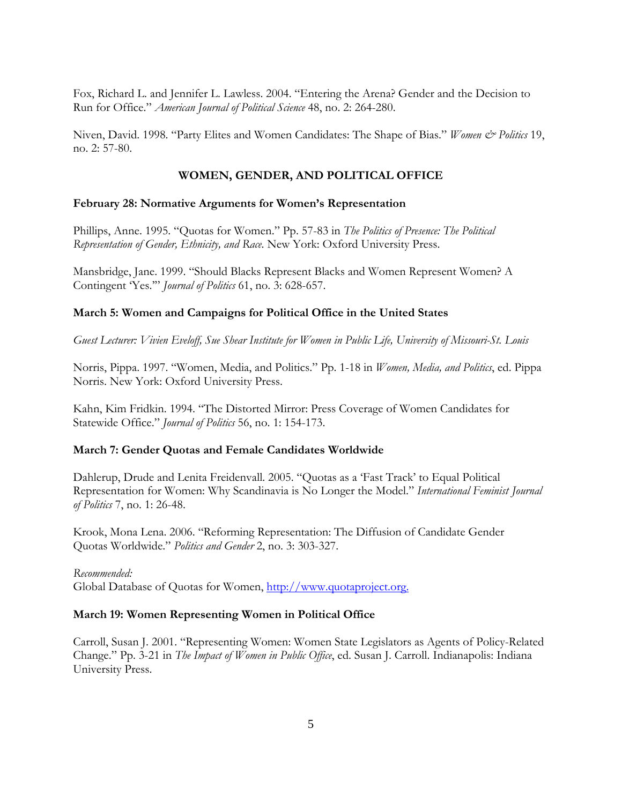Fox, Richard L. and Jennifer L. Lawless. 2004. "Entering the Arena? Gender and the Decision to Run for Office." *American Journal of Political Science* 48, no. 2: 264-280.

Niven, David. 1998. "Party Elites and Women Candidates: The Shape of Bias." Women & Politics 19, no. 2: 57-80.

## **WOMEN, GENDER, AND POLITICAL OFFICE**

## **February 28: Normative Arguments for Women's Representation**

Phillips, Anne. 1995. "Quotas for Women." Pp. 57-83 in *The Politics of Presence: The Political Representation of Gender, Ethnicity, and Race*. New York: Oxford University Press.

Mansbridge, Jane. 1999. "Should Blacks Represent Blacks and Women Represent Women? A Contingent 'Yes.'" *Journal of Politics* 61, no. 3: 628-657.

## **March 5: Women and Campaigns for Political Office in the United States**

*Guest Lecturer: Vivien Eveloff, Sue Shear Institute for Women in Public Life, University of Missouri-St. Louis*

Norris, Pippa. 1997. "Women, Media, and Politics." Pp. 1-18 in *Women, Media, and Politics*, ed. Pippa Norris. New York: Oxford University Press.

Kahn, Kim Fridkin. 1994. "The Distorted Mirror: Press Coverage of Women Candidates for Statewide Office." *Journal of Politics* 56, no. 1: 154-173.

## **March 7: Gender Quotas and Female Candidates Worldwide**

Dahlerup, Drude and Lenita Freidenvall. 2005. "Quotas as a 'Fast Track' to Equal Political Representation for Women: Why Scandinavia is No Longer the Model." *International Feminist Journal of Politics* 7, no. 1: 26-48.

Krook, Mona Lena. 2006. "Reforming Representation: The Diffusion of Candidate Gender Quotas Worldwide." *Politics and Gender* 2, no. 3: 303-327.

## *Recommended:*

Global Database of Quotas for Women, [http://www.quotaproject.org.](http://www.quotaproject.org./)

## **March 19: Women Representing Women in Political Office**

Carroll, Susan J. 2001. "Representing Women: Women State Legislators as Agents of Policy-Related Change." Pp. 3-21 in *The Impact of Women in Public Office*, ed. Susan J. Carroll. Indianapolis: Indiana University Press.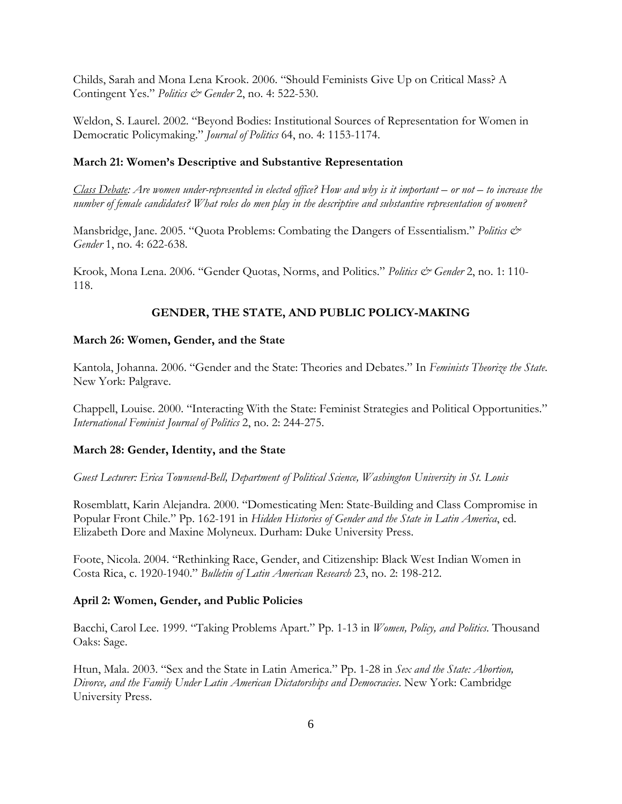Childs, Sarah and Mona Lena Krook. 2006. "Should Feminists Give Up on Critical Mass? A Contingent Yes." *Politics & Gender* 2, no. 4: 522-530.

Weldon, S. Laurel. 2002. "Beyond Bodies: Institutional Sources of Representation for Women in Democratic Policymaking." *Journal of Politics* 64, no. 4: 1153-1174.

## **March 21: Women's Descriptive and Substantive Representation**

*Class Debate: Are women under-represented in elected office? How and why is it important – or not – to increase the number of female candidates? What roles do men play in the descriptive and substantive representation of women?* 

Mansbridge, Jane. 2005. "Quota Problems: Combating the Dangers of Essentialism." *Politics & Gender* 1, no. 4: 622-638.

Krook, Mona Lena. 2006. "Gender Quotas, Norms, and Politics." *Politics & Gender* 2, no. 1: 110- 118.

## **GENDER, THE STATE, AND PUBLIC POLICY-MAKING**

### **March 26: Women, Gender, and the State**

Kantola, Johanna. 2006. "Gender and the State: Theories and Debates." In *Feminists Theorize the State*. New York: Palgrave.

Chappell, Louise. 2000. "Interacting With the State: Feminist Strategies and Political Opportunities." *International Feminist Journal of Politics* 2, no. 2: 244-275.

#### **March 28: Gender, Identity, and the State**

*Guest Lecturer: Erica Townsend-Bell, Department of Political Science, Washington University in St. Louis*

Rosemblatt, Karin Alejandra. 2000. "Domesticating Men: State-Building and Class Compromise in Popular Front Chile." Pp. 162-191 in *Hidden Histories of Gender and the State in Latin America*, ed. Elizabeth Dore and Maxine Molyneux. Durham: Duke University Press.

Foote, Nicola. 2004. "Rethinking Race, Gender, and Citizenship: Black West Indian Women in Costa Rica, c. 1920-1940." *Bulletin of Latin American Research* 23, no. 2: 198-212.

#### **April 2: Women, Gender, and Public Policies**

Bacchi, Carol Lee. 1999. "Taking Problems Apart." Pp. 1-13 in *Women, Policy, and Politics*. Thousand Oaks: Sage.

Htun, Mala. 2003. "Sex and the State in Latin America." Pp. 1-28 in *Sex and the State: Abortion, Divorce, and the Family Under Latin American Dictatorships and Democracies*. New York: Cambridge University Press.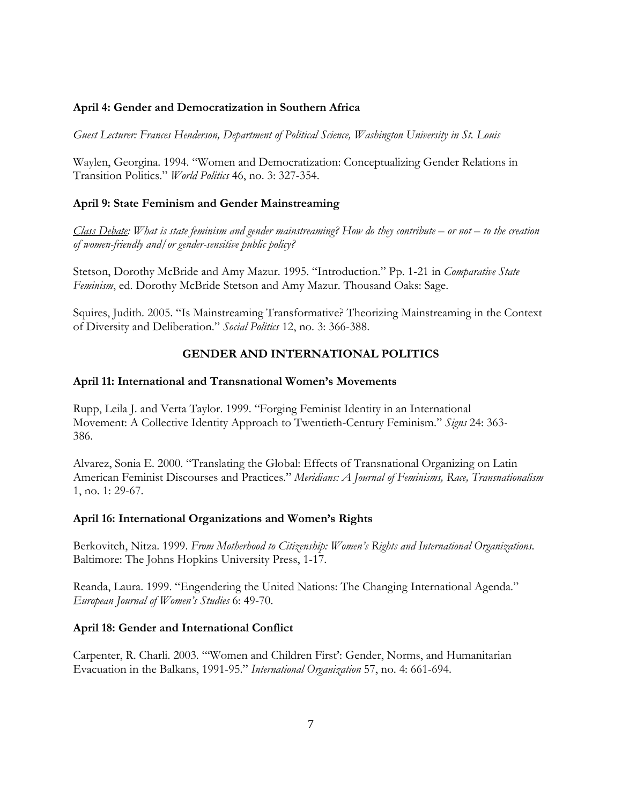## **April 4: Gender and Democratization in Southern Africa**

*Guest Lecturer: Frances Henderson, Department of Political Science, Washington University in St. Louis* 

Waylen, Georgina. 1994. "Women and Democratization: Conceptualizing Gender Relations in Transition Politics." *World Politics* 46, no. 3: 327-354.

# **April 9: State Feminism and Gender Mainstreaming**

*Class Debate: What is state feminism and gender mainstreaming? How do they contribute – or not – to the creation of women-friendly and/or gender-sensitive public policy?* 

Stetson, Dorothy McBride and Amy Mazur. 1995. "Introduction." Pp. 1-21 in *Comparative State Feminism*, ed. Dorothy McBride Stetson and Amy Mazur. Thousand Oaks: Sage.

Squires, Judith. 2005. "Is Mainstreaming Transformative? Theorizing Mainstreaming in the Context of Diversity and Deliberation." *Social Politics* 12, no. 3: 366-388.

# **GENDER AND INTERNATIONAL POLITICS**

## **April 11: International and Transnational Women's Movements**

Rupp, Leila J. and Verta Taylor. 1999. "Forging Feminist Identity in an International Movement: A Collective Identity Approach to Twentieth-Century Feminism." *Signs* 24: 363*-*  386.

Alvarez, Sonia E. 2000. "Translating the Global: Effects of Transnational Organizing on Latin American Feminist Discourses and Practices." *Meridians: A Journal of Feminisms, Race, Transnationalism* 1, no. 1: 29-67.

## **April 16: International Organizations and Women's Rights**

Berkovitch, Nitza. 1999. *From Motherhood to Citizenship: Women's Rights and International Organizations*. Baltimore: The Johns Hopkins University Press, 1-17.

Reanda, Laura. 1999. "Engendering the United Nations: The Changing International Agenda." *European Journal of Women's Studies* 6: 49-70.

# **April 18: Gender and International Conflict**

Carpenter, R. Charli. 2003. "'Women and Children First': Gender, Norms, and Humanitarian Evacuation in the Balkans, 1991-95." *International Organization* 57, no. 4: 661-694.